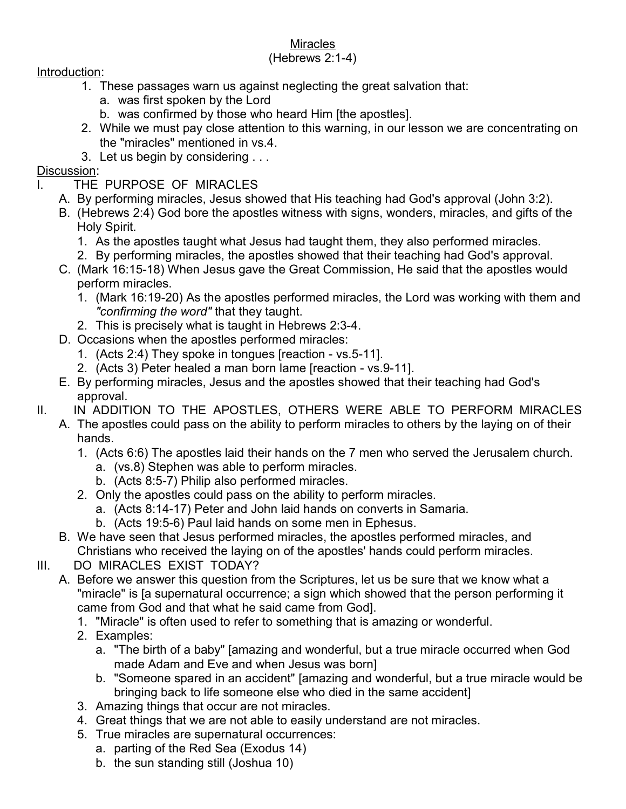## **Miracles**

## (Hebrews 2:1-4)

Introduction:

- 1. These passages warn us against neglecting the great salvation that:
	- a. was first spoken by the Lord
	- b. was confirmed by those who heard Him [the apostles].
- 2. While we must pay close attention to this warning, in our lesson we are concentrating on the "miracles" mentioned in vs.4.
- 3. Let us begin by considering . . .

## Discussion:

- I. THE PURPOSE OF MIRACLES
	- A. By performing miracles, Jesus showed that His teaching had God's approval (John 3:2).
	- B. (Hebrews 2:4) God bore the apostles witness with signs, wonders, miracles, and gifts of the Holy Spirit.
		- 1. As the apostles taught what Jesus had taught them, they also performed miracles.
		- 2. By performing miracles, the apostles showed that their teaching had God's approval.
	- C. (Mark 16:15-18) When Jesus gave the Great Commission, He said that the apostles would perform miracles.
		- 1. (Mark 16:19-20) As the apostles performed miracles, the Lord was working with them and "confirming the word" that they taught.
		- 2. This is precisely what is taught in Hebrews 2:3-4.
	- D. Occasions when the apostles performed miracles:
		- 1. (Acts 2:4) They spoke in tongues [reaction vs.5-11].
		- 2. (Acts 3) Peter healed a man born lame [reaction vs.9-11].
	- E. By performing miracles, Jesus and the apostles showed that their teaching had God's approval.
- II. IN ADDITION TO THE APOSTLES, OTHERS WERE ABLE TO PERFORM MIRACLES
	- A. The apostles could pass on the ability to perform miracles to others by the laying on of their hands.
		- 1. (Acts 6:6) The apostles laid their hands on the 7 men who served the Jerusalem church.
			- a. (vs.8) Stephen was able to perform miracles.
			- b. (Acts 8:5-7) Philip also performed miracles.
		- 2. Only the apostles could pass on the ability to perform miracles.
			- a. (Acts 8:14-17) Peter and John laid hands on converts in Samaria.
			- b. (Acts 19:5-6) Paul laid hands on some men in Ephesus.
	- B. We have seen that Jesus performed miracles, the apostles performed miracles, and Christians who received the laying on of the apostles' hands could perform miracles.
- III. DO MIRACLES EXIST TODAY?
	- A. Before we answer this question from the Scriptures, let us be sure that we know what a "miracle" is [a supernatural occurrence; a sign which showed that the person performing it came from God and that what he said came from God].
		- 1. "Miracle" is often used to refer to something that is amazing or wonderful.
		- 2. Examples:
			- a. "The birth of a baby" [amazing and wonderful, but a true miracle occurred when God made Adam and Eve and when Jesus was born]
			- b. "Someone spared in an accident" [amazing and wonderful, but a true miracle would be bringing back to life someone else who died in the same accident]
		- 3. Amazing things that occur are not miracles.
		- 4. Great things that we are not able to easily understand are not miracles.
		- 5. True miracles are supernatural occurrences:
			- a. parting of the Red Sea (Exodus 14)
			- b. the sun standing still (Joshua 10)